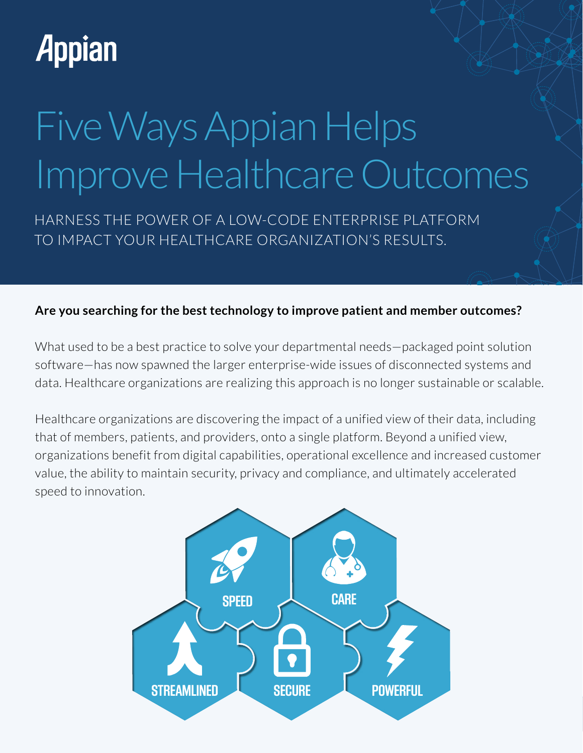## **Appian**

# Five Ways Appian Helps Improve Healthcare Outcomes

HARNESS THE POWER OF A LOW-CODE ENTERPRISE PLATFORM TO IMPACT YOUR HEALTHCARE ORGANIZATION'S RESULTS.

#### **Are you searching for the best technology to improve patient and member outcomes?**

What used to be a best practice to solve your departmental needs—packaged point solution software—has now spawned the larger enterprise-wide issues of disconnected systems and data. Healthcare organizations are realizing this approach is no longer sustainable or scalable.

Healthcare organizations are discovering the impact of a unified view of their data, including that of members, patients, and providers, onto a single platform. Beyond a unified view, organizations benefit from digital capabilities, operational excellence and increased customer value, the ability to maintain security, privacy and compliance, and ultimately accelerated speed to innovation.

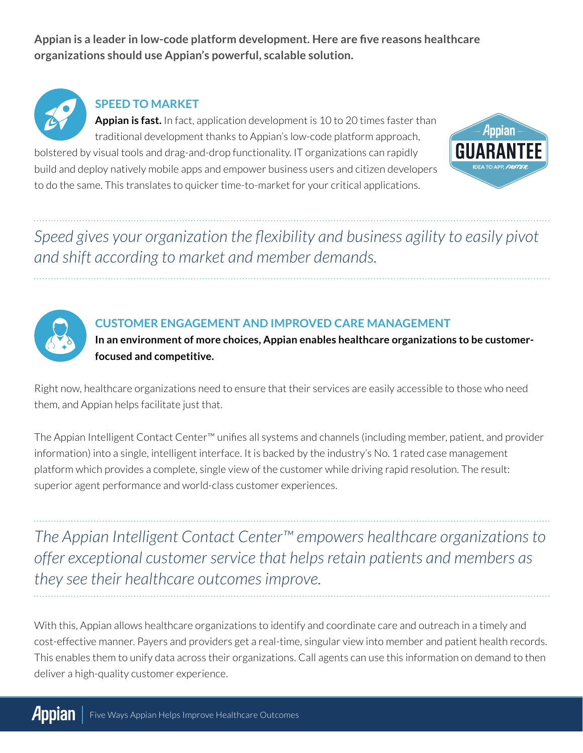**Appian is a leader in low-code platform development. Here are five reasons healthcare organizations should use Appian's powerful, scalable solution.** 



#### **SPEED TO MARKET**

**Appian is fast.** In fact, application development is 10 to 20 times faster than traditional development thanks to Appian's low-code platform approach,

bolstered by visual tools and drag-and-drop functionality. IT organizations can rapidly build and deploy natively mobile apps and empower business users and citizen developers to do the same. This translates to quicker time-to-market for your critical applications.



*Speed gives your organization the flexibility and business agility to easily pivot and shift according to market and member demands.*



#### **CUSTOMER ENGAGEMENT AND IMPROVED CARE MANAGEMENT**

**In an environment of more choices, Appian enables healthcare organizations to be customerfocused and competitive.** 

Right now, healthcare organizations need to ensure that their services are easily accessible to those who need them, and Appian helps facilitate just that.

The Appian Intelligent Contact Center™ unifies all systems and channels (including member, patient, and provider information) into a single, intelligent interface. It is backed by the industry's No. 1 rated case management platform which provides a complete, single view of the customer while driving rapid resolution. The result: superior agent performance and world-class customer experiences.

*The Appian Intelligent Contact Center™ empowers healthcare organizations to offer exceptional customer service that helps retain patients and members as they see their healthcare outcomes improve.*

With this, Appian allows healthcare organizations to identify and coordinate care and outreach in a timely and cost-effective manner. Payers and providers get a real-time, singular view into member and patient health records. This enables them to unify data across their organizations. Call agents can use this information on demand to then deliver a high-quality customer experience.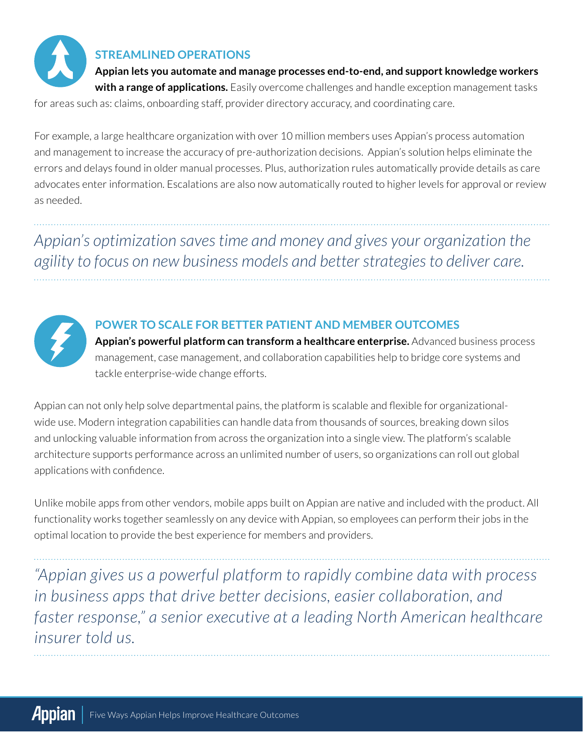

#### **STREAMLINED OPERATIONS**

**Appian lets you automate and manage processes end-to-end, and support knowledge workers with a range of applications.** Easily overcome challenges and handle exception management tasks for areas such as: claims, onboarding staff, provider directory accuracy, and coordinating care.

For example, a large healthcare organization with over 10 million members uses Appian's process automation and management to increase the accuracy of pre-authorization decisions. Appian's solution helps eliminate the errors and delays found in older manual processes. Plus, authorization rules automatically provide details as care advocates enter information. Escalations are also now automatically routed to higher levels for approval or review as needed.

*Appian's optimization saves time and money and gives your organization the agility to focus on new business models and better strategies to deliver care.*



#### **POWER TO SCALE FOR BETTER PATIENT AND MEMBER OUTCOMES**

**Appian's powerful platform can transform a healthcare enterprise.** Advanced business process management, case management, and collaboration capabilities help to bridge core systems and tackle enterprise-wide change efforts.

Appian can not only help solve departmental pains, the platform is scalable and flexible for organizationalwide use. Modern integration capabilities can handle data from thousands of sources, breaking down silos and unlocking valuable information from across the organization into a single view. The platform's scalable architecture supports performance across an unlimited number of users, so organizations can roll out global applications with confidence.

Unlike mobile apps from other vendors, mobile apps built on Appian are native and included with the product. All functionality works together seamlessly on any device with Appian, so employees can perform their jobs in the optimal location to provide the best experience for members and providers.

*"Appian gives us a powerful platform to rapidly combine data with process in business apps that drive better decisions, easier collaboration, and faster response," a senior executive at a leading North American healthcare insurer told us.*